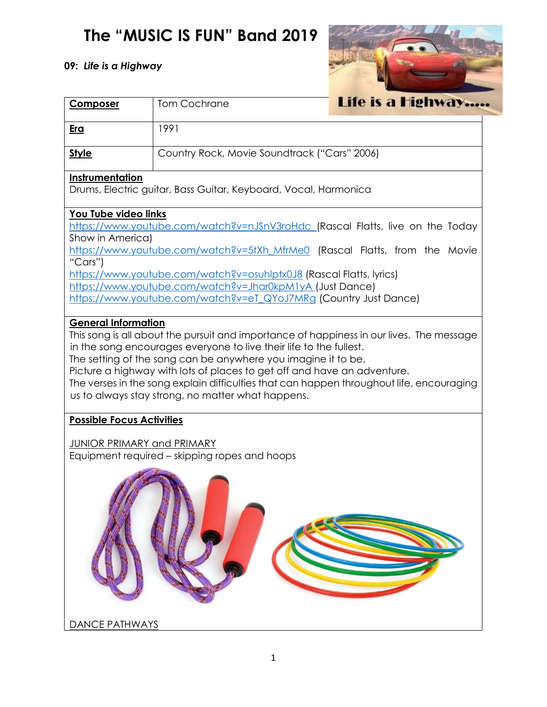## **The "MUSIC IS FUN" Band 2019**

## **09:** *Life is a Highway*



| <b>Composer</b>                                                                                                                                                                                                                                                                                                                                                                                                                                                                                                                                                                                                                                                                                                                                                                                                                                                                                                        | <b>Tom Cochrane</b>                          | Life is a Highway |  |  |  |
|------------------------------------------------------------------------------------------------------------------------------------------------------------------------------------------------------------------------------------------------------------------------------------------------------------------------------------------------------------------------------------------------------------------------------------------------------------------------------------------------------------------------------------------------------------------------------------------------------------------------------------------------------------------------------------------------------------------------------------------------------------------------------------------------------------------------------------------------------------------------------------------------------------------------|----------------------------------------------|-------------------|--|--|--|
| Era                                                                                                                                                                                                                                                                                                                                                                                                                                                                                                                                                                                                                                                                                                                                                                                                                                                                                                                    | 1991                                         |                   |  |  |  |
| <b>Style</b>                                                                                                                                                                                                                                                                                                                                                                                                                                                                                                                                                                                                                                                                                                                                                                                                                                                                                                           | Country Rock, Movie Soundtrack ("Cars" 2006) |                   |  |  |  |
| <b>Instrumentation</b><br>Drums, Electric guitar, Bass Guitar, Keyboard, Vocal, Harmonica                                                                                                                                                                                                                                                                                                                                                                                                                                                                                                                                                                                                                                                                                                                                                                                                                              |                                              |                   |  |  |  |
| You Tube video links<br>https://www.youtube.com/watch?v=nJSnV3roHdc (Rascal Flatts, live on the Today<br>Show in America)<br>https://www.youtube.com/watch?v=5tXh_MfrMe0 (Rascal Flatts, from the Movie<br>"Cars")<br>https://www.youtube.com/watch?v=osuhlptx0J8 (Rascal Flatts, lyrics)<br>https://www.youtube.com/watch?v=Jhar0kpM1yA (Just Dance)<br>https://www.youtube.com/watch?v=eT_QYoJ7MRg (Country Just Dance)<br><b>General Information</b><br>This song is all about the pursuit and importance of happiness in our lives. The message<br>in the song encourages everyone to live their life to the fullest.<br>The setting of the song can be anywhere you imagine it to be.<br>Picture a highway with lots of places to get off and have an adventure.<br>The verses in the song explain difficulties that can happen throughout life, encouraging<br>us to always stay strong, no matter what happens. |                                              |                   |  |  |  |
| <b>Possible Focus Activities</b>                                                                                                                                                                                                                                                                                                                                                                                                                                                                                                                                                                                                                                                                                                                                                                                                                                                                                       |                                              |                   |  |  |  |
| <b>JUNIOR PRIMARY and PRIMARY</b><br>Equipment required - skipping ropes and hoops                                                                                                                                                                                                                                                                                                                                                                                                                                                                                                                                                                                                                                                                                                                                                                                                                                     |                                              |                   |  |  |  |
| <b>DANCE PATHWAYS</b>                                                                                                                                                                                                                                                                                                                                                                                                                                                                                                                                                                                                                                                                                                                                                                                                                                                                                                  |                                              |                   |  |  |  |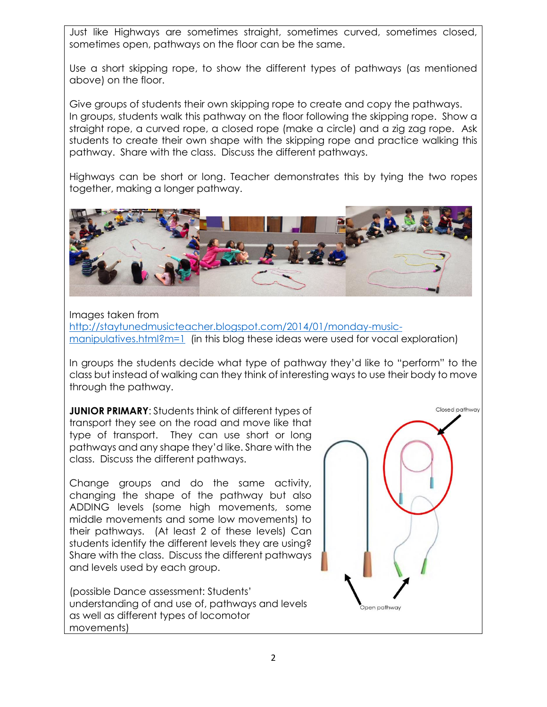Just like Highways are sometimes straight, sometimes curved, sometimes closed, sometimes open, pathways on the floor can be the same.

Use a short skipping rope, to show the different types of pathways (as mentioned above) on the floor.

Give groups of students their own skipping rope to create and copy the pathways. In groups, students walk this pathway on the floor following the skipping rope. Show a straight rope, a curved rope, a closed rope (make a circle) and a zig zag rope. Ask students to create their own shape with the skipping rope and practice walking this pathway. Share with the class. Discuss the different pathways.

Highways can be short or long. Teacher demonstrates this by tying the two ropes together, making a longer pathway.



Images taken from [http://staytunedmusicteacher.blogspot.com/2014/01/monday-music](http://staytunedmusicteacher.blogspot.com/2014/01/monday-music-manipulatives.html?m=1)[manipulatives.html?m=1](http://staytunedmusicteacher.blogspot.com/2014/01/monday-music-manipulatives.html?m=1) (in this blog these ideas were used for vocal exploration)

In groups the students decide what type of pathway they'd like to "perform" to the class but instead of walking can they think of interesting ways to use their body to move through the pathway.

**JUNIOR PRIMARY:** Students think of different types of transport they see on the road and move like that type of transport. They can use short or long pathways and any shape they'd like. Share with the class. Discuss the different pathways.

Change groups and do the same activity, changing the shape of the pathway but also ADDING levels (some high movements, some middle movements and some low movements) to their pathways. (At least 2 of these levels) Can students identify the different levels they are using? Share with the class. Discuss the different pathways and levels used by each group.

(possible Dance assessment: Students' understanding of and use of, pathways and levels as well as different types of locomotor movements)